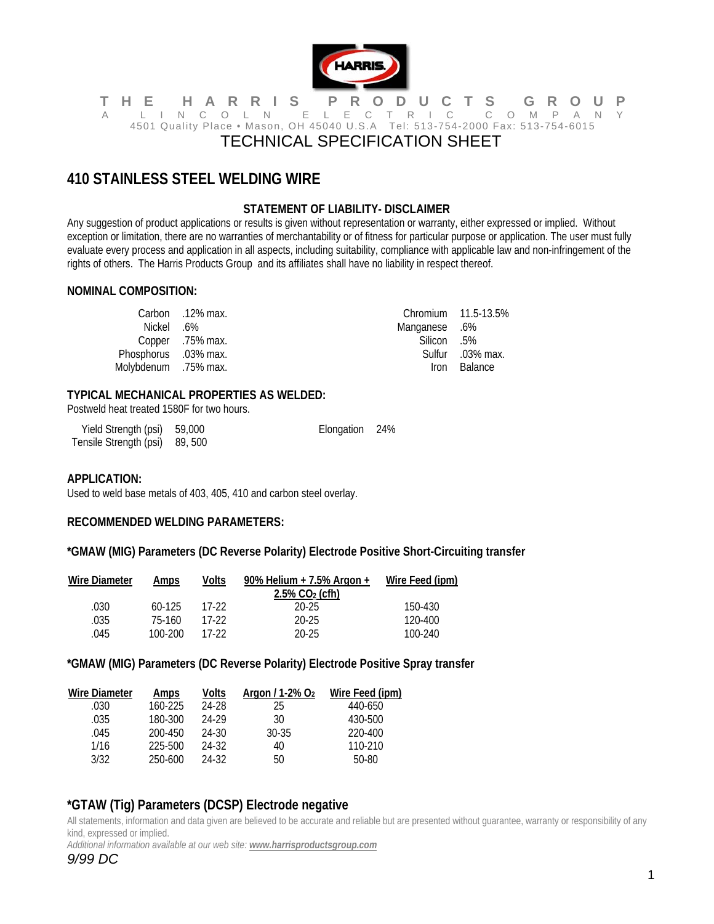

#### **THE HARRIS PRODUCTS GROUP**  A LINCOLN ELECTRIC COMPANY 4501 Quality Place • Mason, OH 45040 U.S.A Tel: 513-754-2000 Fax: 513-754-6015 TECHNICAL SPECIFICATION SHEET

# **410 STAINLESS STEEL WELDING WIRE**

# **STATEMENT OF LIABILITY- DISCLAIMER**

Any suggestion of product applications or results is given without representation or warranty, either expressed or implied. Without exception or limitation, there are no warranties of merchantability or of fitness for particular purpose or application. The user must fully evaluate every process and application in all aspects, including suitability, compliance with applicable law and non-infringement of the rights of others. The Harris Products Group and its affiliates shall have no liability in respect thereof.

#### **NOMINAL COMPOSITION:**

|                      | Carbon 12% max.  |               | Chromium 11.5-13.5% |
|----------------------|------------------|---------------|---------------------|
| .6%. Nickel          |                  | 6%. Manganese |                     |
|                      | Copper .75% max. | .5% Silicon   |                     |
| Phosphorus .03% max. |                  |               | Sulfur .03% max.    |
| Molybdenum .75% max. |                  | <i>Iron</i>   | Balance             |

## **TYPICAL MECHANICAL PROPERTIES AS WELDED:**

Postweld heat treated 1580F for two hours.

| Yield Strength (psi) 59,000    | Elongation 24% |  |
|--------------------------------|----------------|--|
| Tensile Strength (psi) 89, 500 |                |  |

#### **APPLICATION:**

Used to weld base metals of 403, 405, 410 and carbon steel overlay.

## **RECOMMENDED WELDING PARAMETERS:**

**\*GMAW (MIG) Parameters (DC Reverse Polarity) Electrode Positive Short-Circuiting transfer** 

| <b>Wire Diameter</b> | Amps     | Volts | 90% Helium + 7.5% Argon +     | Wire Feed (ipm) |
|----------------------|----------|-------|-------------------------------|-----------------|
|                      |          |       | $2.5\%$ CO <sub>2</sub> (cfh) |                 |
| .030                 | $60-125$ | 17-22 | 20-25                         | 150-430         |
| .035                 | 75-160   | 17-22 | $20 - 25$                     | 120-400         |
| .045                 | 100-200  | 17-22 | $20 - 25$                     | 100-240         |

**\*GMAW (MIG) Parameters (DC Reverse Polarity) Electrode Positive Spray transfer** 

| Wire Diameter | Amps    | Volts | Argon / $1-2\%$ O <sub>2</sub> | Wire Feed (ipm) |
|---------------|---------|-------|--------------------------------|-----------------|
| .030          | 160-225 | 24-28 | 25                             | 440-650         |
| .035          | 180-300 | 24-29 | 30                             | 430-500         |
| .045          | 200-450 | 24-30 | $30 - 35$                      | 220-400         |
| 1/16          | 225-500 | 24-32 | 40                             | 110-210         |
| 3/32          | 250-600 | 24-32 | 50                             | $50-80$         |
|               |         |       |                                |                 |

# **\*GTAW (Tig) Parameters (DCSP) Electrode negative**

All statements, information and data given are believed to be accurate and reliable but are presented without guarantee, warranty or responsibility of any kind, expressed or implied.

*Additional information available at our web site: www.harrisproductsgroup.com*